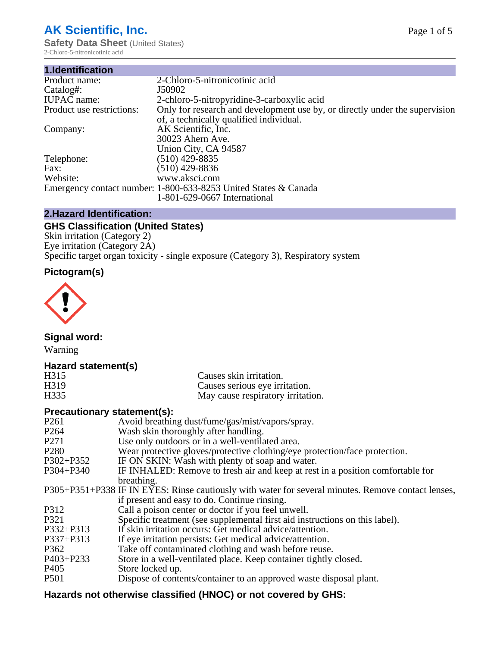# **AK Scientific, Inc.**

**Safety Data Sheet (United States)** 2-Chloro-5-nitronicotinic acid

| 1.Identification          |                                                                                                                        |
|---------------------------|------------------------------------------------------------------------------------------------------------------------|
| Product name:             | 2-Chloro-5-nitronicotinic acid                                                                                         |
| Catalog#:                 | J50902                                                                                                                 |
| <b>IUPAC</b> name:        | 2-chloro-5-nitropyridine-3-carboxylic acid                                                                             |
| Product use restrictions: | Only for research and development use by, or directly under the supervision<br>of, a technically qualified individual. |
| Company:                  | AK Scientific, Inc.<br>30023 Ahern Ave.                                                                                |
|                           | Union City, CA 94587                                                                                                   |
| Telephone:                | $(510)$ 429-8835                                                                                                       |
| Fax:                      | (510) 429-8836                                                                                                         |
| Website:                  | www.aksci.com                                                                                                          |
|                           | Emergency contact number: 1-800-633-8253 United States & Canada                                                        |
|                           | 1-801-629-0667 International                                                                                           |

# **2.Hazard Identification:**

# **GHS Classification (United States)**

Skin irritation (Category 2) Eye irritation (Category 2A) Specific target organ toxicity - single exposure (Category 3), Respiratory system

# **Pictogram(s)**



**Signal word:**

Warning

# **Hazard statement(s)**

| H315              | Causes skin irritation.           |
|-------------------|-----------------------------------|
| H <sub>3</sub> 19 | Causes serious eye irritation.    |
| H335              | May cause respiratory irritation. |

### **Precautionary statement(s):**

| P <sub>261</sub> | Avoid breathing dust/fume/gas/mist/vapors/spray.                                                   |
|------------------|----------------------------------------------------------------------------------------------------|
| P <sub>264</sub> | Wash skin thoroughly after handling.                                                               |
| P <sub>271</sub> | Use only outdoors or in a well-ventilated area.                                                    |
| P <sub>280</sub> | Wear protective gloves/protective clothing/eye protection/face protection.                         |
| P302+P352        | IF ON SKIN: Wash with plenty of soap and water.                                                    |
| $P304 + P340$    | IF INHALED: Remove to fresh air and keep at rest in a position comfortable for                     |
|                  | breathing.                                                                                         |
|                  | P305+P351+P338 IF IN EYES: Rinse cautiously with water for several minutes. Remove contact lenses, |
|                  | if present and easy to do. Continue rinsing.                                                       |
| P312             | Call a poison center or doctor if you feel unwell.                                                 |
| P321             | Specific treatment (see supplemental first aid instructions on this label).                        |
| P332+P313        | If skin irritation occurs: Get medical advice/attention.                                           |
| P337+P313        | If eye irritation persists: Get medical advice/attention.                                          |
| P362             | Take off contaminated clothing and wash before reuse.                                              |
| $P403 + P233$    | Store in a well-ventilated place. Keep container tightly closed.                                   |
| P <sub>405</sub> | Store locked up.                                                                                   |
| P <sub>501</sub> | Dispose of contents/container to an approved waste disposal plant.                                 |
|                  |                                                                                                    |

# **Hazards not otherwise classified (HNOC) or not covered by GHS:**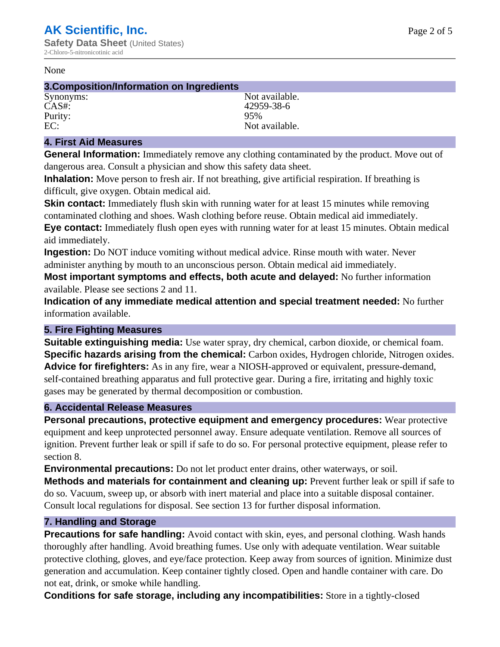#### None

#### **3.Composition/Information on Ingredients**

Purity: 95%

Synonyms: Not available. CAS#: 42959-38-6 EC: Not available.

## **4. First Aid Measures**

**General Information:** Immediately remove any clothing contaminated by the product. Move out of dangerous area. Consult a physician and show this safety data sheet.

**Inhalation:** Move person to fresh air. If not breathing, give artificial respiration. If breathing is difficult, give oxygen. Obtain medical aid.

**Skin contact:** Immediately flush skin with running water for at least 15 minutes while removing contaminated clothing and shoes. Wash clothing before reuse. Obtain medical aid immediately. **Eye contact:** Immediately flush open eyes with running water for at least 15 minutes. Obtain medical aid immediately.

**Ingestion:** Do NOT induce vomiting without medical advice. Rinse mouth with water. Never administer anything by mouth to an unconscious person. Obtain medical aid immediately.

**Most important symptoms and effects, both acute and delayed:** No further information available. Please see sections 2 and 11.

**Indication of any immediate medical attention and special treatment needed:** No further information available.

#### **5. Fire Fighting Measures**

**Suitable extinguishing media:** Use water spray, dry chemical, carbon dioxide, or chemical foam. **Specific hazards arising from the chemical:** Carbon oxides, Hydrogen chloride, Nitrogen oxides. **Advice for firefighters:** As in any fire, wear a NIOSH-approved or equivalent, pressure-demand, self-contained breathing apparatus and full protective gear. During a fire, irritating and highly toxic gases may be generated by thermal decomposition or combustion.

#### **6. Accidental Release Measures**

**Personal precautions, protective equipment and emergency procedures:** Wear protective equipment and keep unprotected personnel away. Ensure adequate ventilation. Remove all sources of ignition. Prevent further leak or spill if safe to do so. For personal protective equipment, please refer to section 8.

**Environmental precautions:** Do not let product enter drains, other waterways, or soil.

**Methods and materials for containment and cleaning up:** Prevent further leak or spill if safe to do so. Vacuum, sweep up, or absorb with inert material and place into a suitable disposal container. Consult local regulations for disposal. See section 13 for further disposal information.

#### **7. Handling and Storage**

**Precautions for safe handling:** Avoid contact with skin, eyes, and personal clothing. Wash hands thoroughly after handling. Avoid breathing fumes. Use only with adequate ventilation. Wear suitable protective clothing, gloves, and eye/face protection. Keep away from sources of ignition. Minimize dust generation and accumulation. Keep container tightly closed. Open and handle container with care. Do not eat, drink, or smoke while handling.

**Conditions for safe storage, including any incompatibilities:** Store in a tightly-closed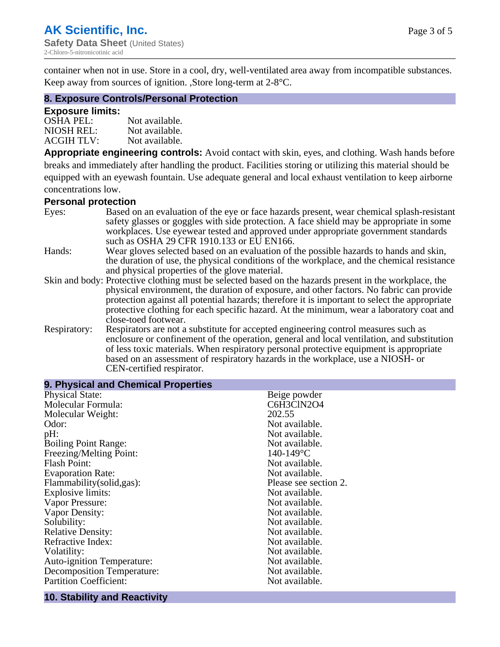container when not in use. Store in a cool, dry, well-ventilated area away from incompatible substances. Keep away from sources of ignition. ,Store long-term at 2-8°C.

#### **8. Exposure Controls/Personal Protection**

#### **Exposure limits:**

| <b>OSHA PEL:</b>  | Not available. |
|-------------------|----------------|
| NIOSH REL:        | Not available. |
| <b>ACGIH TLV:</b> | Not available. |

**Appropriate engineering controls:** Avoid contact with skin, eyes, and clothing. Wash hands before breaks and immediately after handling the product. Facilities storing or utilizing this material should be equipped with an eyewash fountain. Use adequate general and local exhaust ventilation to keep airborne concentrations low.

#### **Personal protection**

| Eyes:        | Based on an evaluation of the eye or face hazards present, wear chemical splash-resistant<br>safety glasses or goggles with side protection. A face shield may be appropriate in some |  |  |
|--------------|---------------------------------------------------------------------------------------------------------------------------------------------------------------------------------------|--|--|
|              | workplaces. Use eyewear tested and approved under appropriate government standards<br>such as OSHA 29 CFR 1910.133 or EU EN166.                                                       |  |  |
| Hands:       | Wear gloves selected based on an evaluation of the possible hazards to hands and skin,                                                                                                |  |  |
|              | the duration of use, the physical conditions of the workplace, and the chemical resistance                                                                                            |  |  |
|              | and physical properties of the glove material.                                                                                                                                        |  |  |
|              | Skin and body: Protective clothing must be selected based on the hazards present in the workplace, the                                                                                |  |  |
|              | physical environment, the duration of exposure, and other factors. No fabric can provide                                                                                              |  |  |
|              | protection against all potential hazards; therefore it is important to select the appropriate                                                                                         |  |  |
|              | protective clothing for each specific hazard. At the minimum, wear a laboratory coat and                                                                                              |  |  |
|              | close-toed footwear.                                                                                                                                                                  |  |  |
| Respiratory: | Respirators are not a substitute for accepted engineering control measures such as<br>enclosure or confinement of the operation, general and local ventilation, and substitution      |  |  |
|              | of less toxic materials. When respiratory personal protective equipment is appropriate                                                                                                |  |  |
|              | based on an assessment of respiratory hazards in the workplace, use a NIOSH- or                                                                                                       |  |  |
|              | CEN-certified respirator.                                                                                                                                                             |  |  |

| 9. Physical and Chemical Properties |                       |  |  |
|-------------------------------------|-----------------------|--|--|
| <b>Physical State:</b>              | Beige powder          |  |  |
| Molecular Formula:                  | C6H3ClN2O4            |  |  |
| Molecular Weight:                   | 202.55                |  |  |
| Odor:                               | Not available.        |  |  |
| pH:                                 | Not available.        |  |  |
| <b>Boiling Point Range:</b>         | Not available.        |  |  |
| Freezing/Melting Point:             | $140 - 149$ °C        |  |  |
| <b>Flash Point:</b>                 | Not available.        |  |  |
| <b>Evaporation Rate:</b>            | Not available.        |  |  |
| Flammability(solid,gas):            | Please see section 2. |  |  |
| Explosive limits:                   | Not available.        |  |  |
| Vapor Pressure:                     | Not available.        |  |  |
| Vapor Density:                      | Not available.        |  |  |
| Solubility:                         | Not available.        |  |  |
| <b>Relative Density:</b>            | Not available.        |  |  |
| Refractive Index:                   | Not available.        |  |  |
| Volatility:                         | Not available.        |  |  |
| <b>Auto-ignition Temperature:</b>   | Not available.        |  |  |
| <b>Decomposition Temperature:</b>   | Not available.        |  |  |
| <b>Partition Coefficient:</b>       | Not available.        |  |  |
|                                     |                       |  |  |

# **10. Stability and Reactivity**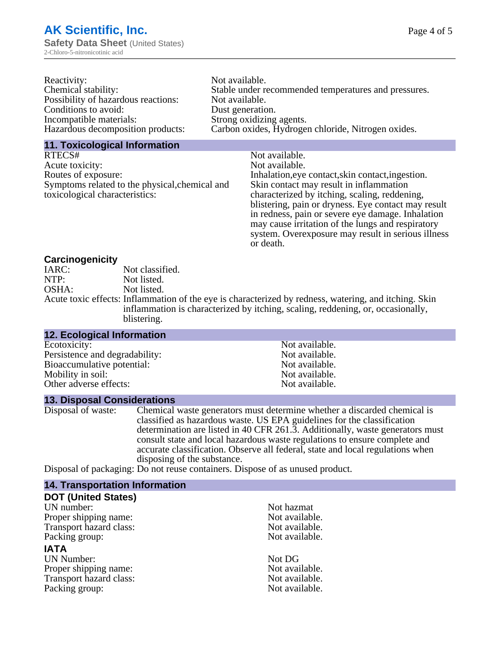| Not available.                                       |
|------------------------------------------------------|
| Stable under recommended temperatures and pressures. |
| Not available.                                       |
| Dust generation.                                     |
| Strong oxidizing agents.                             |
| Carbon oxides, Hydrogen chloride, Nitrogen oxides.   |
|                                                      |

#### **11. Toxicological Information**

| RTECS#                                         | Not available.                                      |
|------------------------------------------------|-----------------------------------------------------|
| Acute toxicity:                                | Not available.                                      |
| Routes of exposure:                            | Inhalation, eye contact, skin contact, ingestion.   |
| Symptoms related to the physical, chemical and | Skin contact may result in inflammation             |
| toxicological characteristics:                 | characterized by itching, scaling, reddening,       |
|                                                | blistering, pain or dryness. Eye contact may result |
|                                                | in redness, pain or severe eye damage. Inhalation   |
|                                                | may cause irritation of the lungs and respiratory   |
|                                                | system. Overexposure may result in serious illness  |

or death.

#### **Carcinogenicity**

| IARC: | Not classified.                                                                                       |
|-------|-------------------------------------------------------------------------------------------------------|
| NTP:  | Not listed.                                                                                           |
| OSHA: | Not listed.                                                                                           |
|       | Acute toxic effects: Inflammation of the eye is characterized by redness, watering, and itching. Skin |
|       | inflammation is characterized by itching, scaling, reddening, or, occasionally,                       |
|       | blistering.                                                                                           |

| 12. Ecological Information     |                |
|--------------------------------|----------------|
| Ecotoxicity:                   | Not available. |
| Persistence and degradability: | Not available. |
| Bioaccumulative potential:     | Not available. |
| Mobility in soil:              | Not available. |
| Other adverse effects:         | Not available. |

#### **13. Disposal Considerations**

Disposal of waste: Chemical waste generators must determine whether a discarded chemical is classified as hazardous waste. US EPA guidelines for the classification determination are listed in 40 CFR 261.3. Additionally, waste generators must consult state and local hazardous waste regulations to ensure complete and accurate classification. Observe all federal, state and local regulations when disposing of the substance.

Disposal of packaging: Do not reuse containers. Dispose of as unused product.

| <b>14. Transportation Information</b> |                |
|---------------------------------------|----------------|
| <b>DOT (United States)</b>            |                |
| UN number:                            | Not hazmat     |
| Proper shipping name:                 | Not available. |
| Transport hazard class:               | Not available. |
| Packing group:                        | Not available. |
| <b>IATA</b>                           |                |
| <b>UN Number:</b>                     | Not DG         |
| Proper shipping name:                 | Not available. |
| Transport hazard class:               | Not available. |
| Packing group:                        | Not available. |